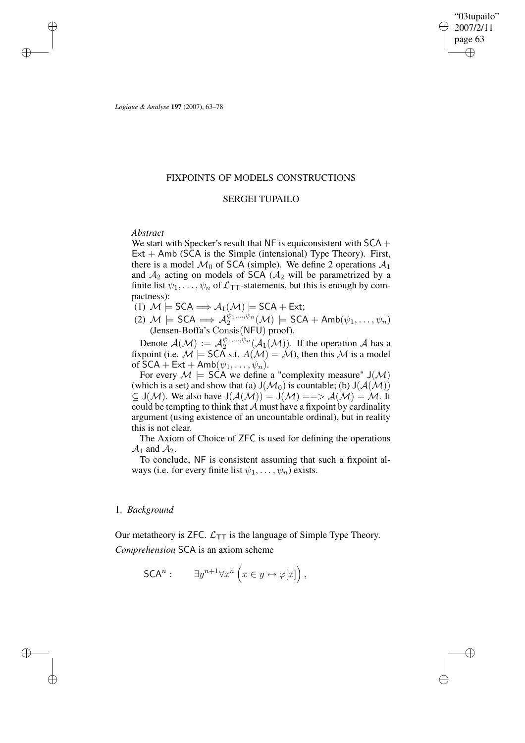"03tupailo" 2007/2/11 page 63 ✐ ✐

✐

✐

*Logique & Analyse* **197** (2007), 63–78

✐

✐

✐

✐

# FIXPOINTS OF MODELS CONSTRUCTIONS

# SERGEI TUPAILO

# *Abstract*

We start with Specker's result that NF is equiconsistent with  $SCA +$  $Ext + Amb (SCA)$  is the Simple (intensional) Type Theory). First, there is a model  $\mathcal{M}_0$  of SCA (simple). We define 2 operations  $\mathcal{A}_1$ and  $A_2$  acting on models of SCA ( $A_2$  will be parametrized by a finite list  $\psi_1, \ldots, \psi_n$  of  $\mathcal{L}_{TT}$ -statements, but this is enough by compactness):

 $\mathcal{A}_1(1)$  M  $\models$  SCA  $\Longrightarrow$   $\mathcal{A}_1(\mathcal{M})$   $\models$  SCA + Ext;

(2)  $M \models \mathsf{SCA} \Longrightarrow \mathcal{A}_2^{\psi_1,...,\psi_n}(\mathcal{M}) \models \mathsf{SCA} + \mathsf{Amb}(\psi_1,\ldots,\psi_n)$ (Jensen-Boffa's Consis(NFU) proof).

Denote  $\mathcal{A}(\mathcal{M}) := \mathcal{A}_2^{\psi_1,\dots,\psi_n}(\mathcal{A}_1(\mathcal{M}))$ . If the operation A has a fixpoint (i.e.  $\mathcal{M} \models$  SCA s.t.  $A(\mathcal{M}) = \mathcal{M}$ ), then this  $\mathcal{M}$  is a model of  $SCA + Ext + Amb(\psi_1, \ldots, \psi_n)$ .

For every  $M \models$  SCA we define a "complexity measure" J(M) (which is a set) and show that (a)  $J(\mathcal{M}_0)$  is countable; (b)  $J(\mathcal{A}(\mathcal{M}))$  $\subseteq$  J(M). We also have J( $\mathcal{A}(\mathcal{M})$ ) = J( $\mathcal{M}$ ) =  $\Rightarrow$   $\mathcal{A}(\mathcal{M}) = \mathcal{M}$ . It could be tempting to think that  $A$  must have a fixpoint by cardinality argument (using existence of an uncountable ordinal), but in reality this is not clear.

The Axiom of Choice of ZFC is used for defining the operations  $\mathcal{A}_1$  and  $\mathcal{A}_2$ .

To conclude, NF is consistent assuming that such a fixpoint always (i.e. for every finite list  $\psi_1, \dots, \psi_n$ ) exists.

# 1. *Background*

Our metatheory is ZFC.  $\mathcal{L}_{TT}$  is the language of Simple Type Theory.

*Comprehension* SCA is an axiom scheme

$$
\mathsf{SCA}^n: \qquad \exists y^{n+1} \forall x^n \left( x \in y \leftrightarrow \varphi[x] \right),
$$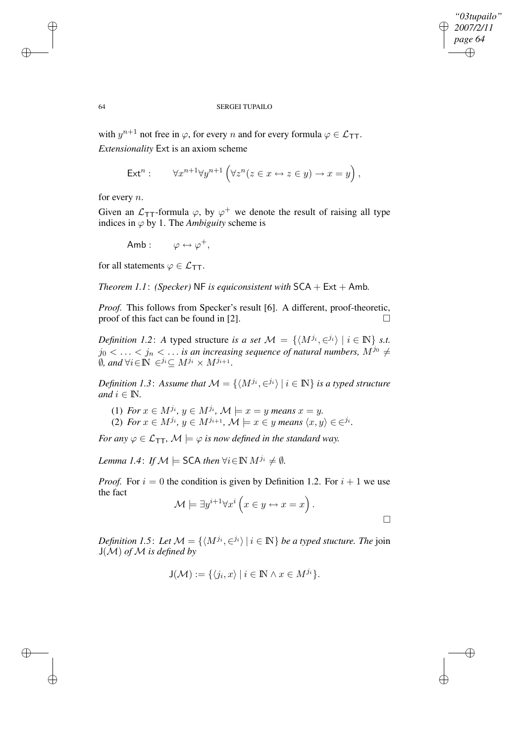# 64 SERGEI TUPAILO

with  $y^{n+1}$  not free in  $\varphi$ , for every n and for every formula  $\varphi \in \mathcal{L}_{TT}$ . *Extensionality* Ext is an axiom scheme

$$
\text{Ext}^n: \qquad \forall x^{n+1} \forall y^{n+1} \left( \forall z^n (z \in x \leftrightarrow z \in y) \rightarrow x = y \right),
$$

for every n.

Given an  $\mathcal{L}_{TT}$ -formula  $\varphi$ , by  $\varphi^{+}$  we denote the result of raising all type indices in  $\varphi$  by 1. The *Ambiguity* scheme is

$$
Amb: \qquad \varphi \leftrightarrow \varphi^+,
$$

for all statements  $\varphi \in \mathcal{L}_{TT}$ .

*Theorem 1.1*: *(Specker)* NF *is equiconsistent with* SCA + Ext + Amb*.*

*Proof.* This follows from Specker's result [6]. A different, proof-theoretic, proof of this fact can be found in [2].  $\Box$ 

*Definition* 1.2: A typed structure *is a set*  $M = \{ \langle M^{j_i}, \in^{j_i} \rangle \mid i \in \mathbb{N} \}$  *s.t.*  $j_0 < \ldots < j_n < \ldots$  is an increasing sequence of natural numbers,  $M^{j_0} \neq$  $\emptyset$ *, and*  $\forall i \in \mathbb{N} \in \mathbb{N} \subseteq M^{j_i} \times M^{j_{i+1}}$ *.* 

*Definition 1.3:* Assume that  $\mathcal{M} = \{ \langle M^{j_i}, \in^{j_i} \rangle \mid i \in \mathbb{N} \}$  is a typed structure *and*  $i \in \mathbb{N}$ .

(1) *For*  $x \in M^{j_i}$ ,  $y \in M^{j_i}$ ,  $\mathcal{M} \models x = y$  *means*  $x = y$ .

(2) *For*  $x \in M^{j_i}$ ,  $y \in M^{j_{i+1}}$ ,  $\mathcal{M} \models x \in y$  *means*  $\langle x, y \rangle \in \in^{j_i}$ .

*For any*  $\varphi \in \mathcal{L}_{TT}$ ,  $\mathcal{M} \models \varphi$  *is now defined in the standard way.* 

*Lemma 1.4*: *If*  $\mathcal{M} \models$  SCA *then*  $\forall i \in \mathbb{N}$   $M^{j_i} \neq \emptyset$ *.* 

*Proof.* For  $i = 0$  the condition is given by Definition 1.2. For  $i + 1$  we use the fact

$$
\mathcal{M} \models \exists y^{i+1} \forall x^i \left( x \in y \leftrightarrow x = x \right).
$$

 $\Box$ 

✐

✐

*Definition 1.5: Let*  $M = \{ \langle M^{j_i}, \in^{j_i} \rangle | i \in \mathbb{N} \}$  *be a typed stucture. The* join J(M) *of* M *is defined by*

$$
\mathsf{J}(\mathcal{M}) := \{ \langle j_i, x \rangle \mid i \in \mathbb{N} \land x \in M^{j_i} \}.
$$

✐

✐

✐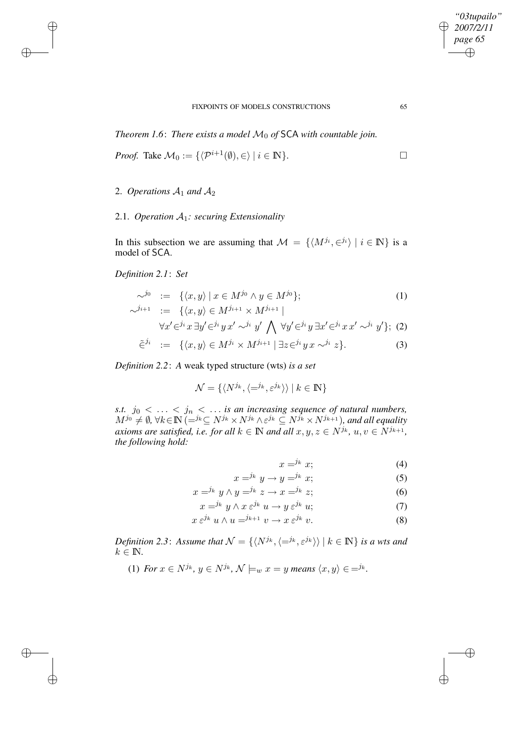$\mathcal{D}$ 

✐

## FIXPOINTS OF MODELS CONSTRUCTIONS 65

*Theorem 1.6*: *There exists a model* M<sup>0</sup> *of* SCA *with countable join.*

*Proof.* Take 
$$
\mathcal{M}_0 := \{ \langle \mathcal{P}^{i+1}(\emptyset), \in \rangle \mid i \in \mathbb{N} \}.
$$

# 2. *Operations*  $A_1$  *and*  $A_2$

✐

✐

✐

✐

# 2.1. *Operation*  $A_1$ *: securing Extensionality*

In this subsection we are assuming that  $\mathcal{M} = \{ \langle M^{j_i}, \in^{j_i} \rangle \mid i \in \mathbb{N} \}$  is a model of SCA.

*Definition 2.1*: *Set*

$$
\begin{array}{rcl}\n\sim^{j_0} & := & \{ \langle x, y \rangle \mid x \in M^{j_0} \land y \in M^{j_0} \}; \\
\sim^{j_{i+1}} & := & \{ \langle x, y \rangle \in M^{j_{i+1}} \times M^{j_{i+1}} \mid\n\end{array} \tag{1}
$$

$$
\forall x' \in i^i x \exists y' \in i^i y \ x' \sim i^i y' \bigwedge \forall y' \in i^i y \exists x' \in i^i x \ x' \sim i^i y'; \tag{2}
$$

$$
\tilde{\in}^{j_i} := \{ \langle x, y \rangle \in M^{j_i} \times M^{j_{i+1}} \mid \exists z \in^{j_i} y \ x \sim^{j_i} z \}. \tag{3}
$$

*Definition 2.2*: *A* weak typed structure (wts) *is a set*

$$
\mathcal{N} = \{ \langle N^{j_k}, \langle =^{j_k}, \varepsilon^{j_k} \rangle \rangle \, | \, k \in \rm I\!N \}
$$

*s.t.*  $j_0 < \ldots < j_n < \ldots$  *is an increasing sequence of natural numbers,*  $M^{j_0} \neq \emptyset$ ,  $\forall k \in \mathbb{N} \ (\equiv^{j_k} \subseteq N^{j_k} \times N^{j_k} \wedge \varepsilon^{j_k} \subseteq N^{j_k} \times N^{j_{k+1}})$ *, and all equality axioms are satisfied, i.e. for all*  $k \in \mathbb{N}$  *and all*  $x, y, z \in N^{j_k}$ ,  $u, v \in N^{j_{k+1}}$ , *the following hold:*

$$
x = x^{j_k} x;
$$
 (4)

$$
x = j^k y \to y = j^k x;
$$
 (5)

$$
x = j^k y \wedge y = j^k z \to x = j^k z;
$$
 (6)

$$
x = j^k y \wedge x \varepsilon^{j_k} u \to y \varepsilon^{j_k} u; \tag{7}
$$

$$
x \, \varepsilon^{j_k} \, u \wedge u =^{j_{k+1}} v \to x \, \varepsilon^{j_k} \, v. \tag{8}
$$

*Definition* 2.3: Assume that  $\mathcal{N} = \{ \langle N^{j_k}, \langle =^{j_k}, \varepsilon^{j_k} \rangle \} | k \in \mathbb{N} \}$  is a wts and  $k \in \mathbb{N}$ .

(1) For 
$$
x \in N^{j_k}
$$
,  $y \in N^{j_k}$ ,  $\mathcal{N} \models_w x = y$  means  $\langle x, y \rangle \in \mathbb{R}^{j_k}$ .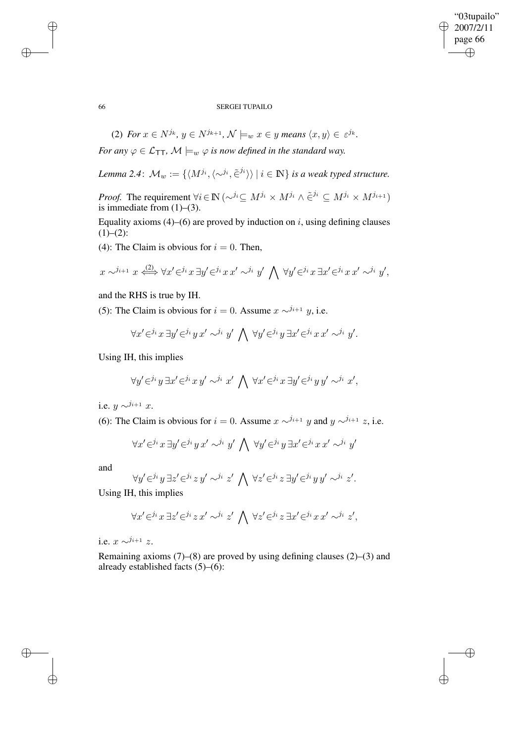# "03tupailo" 2007/2/11 page 66 ✐ ✐

 $\bigoplus$ 

✐

## 66 SERGEI TUPAILO

(2) For 
$$
x \in N^{j_k}
$$
,  $y \in N^{j_{k+1}}$ ,  $\mathcal{N} \models_w x \in y$  means  $\langle x, y \rangle \in \varepsilon^{j_k}$ .

*For any*  $\varphi \in \mathcal{L}_{TT}$ ,  $\mathcal{M} \models_w \varphi$  *is now defined in the standard way.* 

 $Lemma 2.4:$   $\mathcal{M}_w := \{ \langle M^{j_i}, \langle \sim^{j_i}, \tilde{\in}^{j_i} \rangle \rangle \ | \ i \in \mathbb{N} \}$  *is a weak typed structure.* 

*Proof.* The requirement  $\forall i \in \mathbb{N}$  ( $\sim^{j_i} \subseteq M^{j_i} \times M^{j_i} \wedge \tilde{\in}^{j_i} \subseteq M^{j_i} \times M^{j_{i+1}}$ ) is immediate from  $(1)$ – $(3)$ .

Equality axioms (4)–(6) are proved by induction on  $i$ , using defining clauses  $(1)–(2)$ :

(4): The Claim is obvious for  $i = 0$ . Then,

$$
x\sim^{j_{i+1}}x\overset{(2)}{\Longleftrightarrow}\forall x'\in^{j_{i}}x\,\exists y'\in^{j_{i}}x\,x'\sim^{j_{i}}y'\,\bigwedge\,\forall y'\in^{j_{i}}x\,\exists x'\in^{j_{i}}x\,x'\sim^{j_{i}}y',
$$

and the RHS is true by IH.

(5): The Claim is obvious for  $i = 0$ . Assume  $x \sim^{j_{i+1}} y$ , i.e.

$$
\forall x' \in i^i x \exists y' \in i^i y \ x' \sim^{j_i} y' \bigwedge \forall y' \in i^i y \exists x' \in i^i x \ x' \sim^{j_i} y'.
$$

Using IH, this implies

$$
\forall y' \in i^i y \exists x' \in i^i x \ y' \sim i^i x' \bigwedge \forall x' \in i^i x \exists y' \in i^i y \ y' \sim i^i x',
$$

i.e.  $y \sim^{j_{i+1}} x$ .

(6): The Claim is obvious for  $i = 0$ . Assume  $x \sim^{j_{i+1}} y$  and  $y \sim^{j_{i+1}} z$ , i.e.

$$
\forall x' \in i^i x \exists y' \in i^i y \ x' \sim i^i y' \bigwedge \forall y' \in i^i y \exists x' \in i^i x \ x' \sim i^i y'
$$

and

✐

✐

$$
\forall y' \in i^, y \exists z' \in i^, z y' \sim i^, z' \bigwedge \forall z' \in i^, z \exists y' \in i^, y y' \sim i^, z'.
$$

Using IH, this implies

$$
\forall x' \in i^i x \exists z' \in i^i z \ x' \sim^{j_i} z' \bigwedge \forall z' \in i^i z \exists x' \in i^i x \ x' \sim^{j_i} z',
$$

i.e.  $x \sim^{j_{i+1}} z$ .

Remaining axioms (7)–(8) are proved by using defining clauses (2)–(3) and already established facts (5)–(6):

✐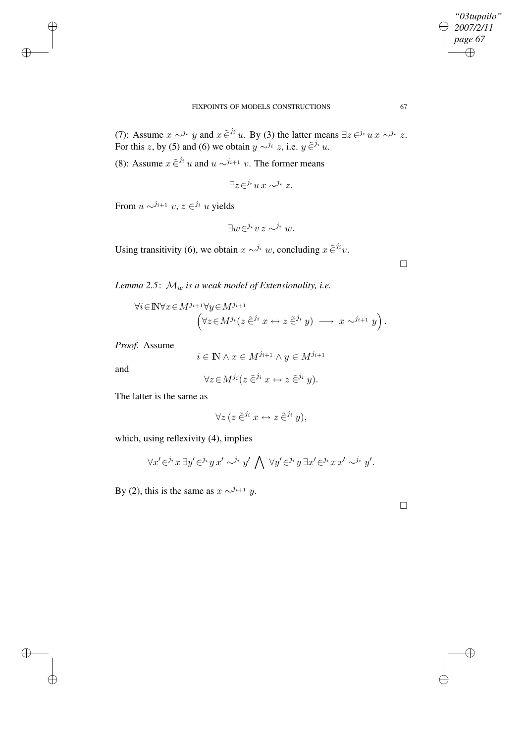(7): Assume  $x \sim^{j_i} y$  and  $x \in^{j_i} u$ . By (3) the latter means  $\exists z \in^{j_i} u \ x \sim^{j_i} z$ . For this z, by (5) and (6) we obtain  $y \sim^{j_i} z$ , i.e.  $y \in^{j_i} u$ .

(8): Assume  $x \in \tilde{S}^{i}$  u and  $u \sim^{j_{i+1}} v$ . The former means

$$
\exists z \in i^i u \ x \sim^{j_i} z.
$$

From  $u \sim^{j_{i+1}} v$ ,  $z \in^{j_i} u$  yields

$$
\exists w \in j^i v z \sim^{j_i} w.
$$

Using transitivity (6), we obtain  $x \sim^{j_i} w$ , concluding  $x \tilde{\in}^{j_i} v$ .

 $\Box$ 

*Lemma* 2.5:  $\mathcal{M}_w$  *is a weak model of Extensionality, i.e.* 

$$
\forall i \in \mathbb{N} \forall x \in M^{j_{i+1}} \forall y \in M^{j_{i+1}} \left( \forall z \in M^{j_i} (z \in \mathcal{I}^{j_i} x \leftrightarrow z \in \mathcal{I}^{j_i} y) \longrightarrow x \sim^{j_{i+1}} y \right).
$$

*Proof.* Assume

$$
i \in \mathbb{N} \land x \in M^{j_{i+1}} \land y \in M^{j_{i+1}}
$$

and

✐

✐

✐

✐

$$
\forall z \in M^{j_i} (z \tilde{\in}^{j_i} x \leftrightarrow z \tilde{\in}^{j_i} y).
$$

The latter is the same as

$$
\forall z\,(z\,\tilde{\in}^{j_i}\,x \leftrightarrow z\,\tilde{\in}^{j_i}\,y),
$$

which, using reflexivity (4), implies

$$
\forall x' \in i^i x \exists y' \in i^i y \ x' \sim i^i y' \bigwedge \forall y' \in i^i y \exists x' \in i^i x \ x' \sim i^i y'.
$$

By (2), this is the same as  $x \sim^{j_{i+1}} y$ .

✐

✐

*"03tupailo" 2007/2/11 page 67*

✐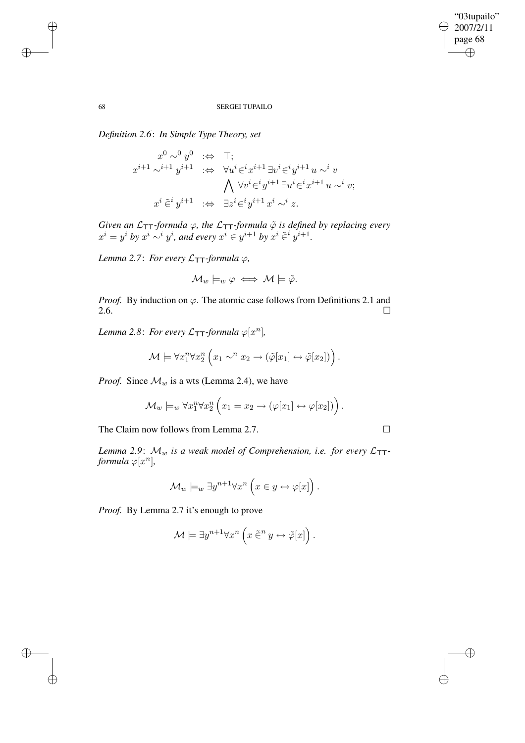✐

✐

# 68 SERGEI TUPAILO

*Definition 2.6*: *In Simple Type Theory, set*

$$
x^{0} \sim^{0} y^{0} \quad \Leftrightarrow \quad \top;
$$
  
\n
$$
x^{i+1} \sim^{i+1} y^{i+1} \quad \Leftrightarrow \quad \forall u^{i} \in^{i} x^{i+1} \exists v^{i} \in^{i} y^{i+1} u \sim^{i} v
$$
  
\n
$$
\bigwedge \forall v^{i} \in^{i} y^{i+1} \exists u^{i} \in^{i} x^{i+1} u \sim^{i} v;
$$
  
\n
$$
x^{i} \in^{i} y^{i+1} \quad \Leftrightarrow \quad \exists z^{i} \in^{i} y^{i+1} x^{i} \sim^{i} z.
$$

*Given an*  $\mathcal{L}_{TT}$ *-formula*  $\varphi$ *, the*  $\mathcal{L}_{TT}$ *-formula*  $\tilde{\varphi}$  *is defined by replacing every*  $x^{i} = y^{i}$  *by*  $x^{i} \sim^{i} y^{i}$ *, and every*  $x^{i} \in y^{i+1}$  *by*  $x^{i} \in^{i} y^{i+1}$ *.* 

*Lemma* 2.7: *For every*  $\mathcal{L}_{TT}$ *-formula*  $\varphi$ *,* 

$$
\mathcal{M}_w \models_w \varphi \iff \mathcal{M} \models \tilde{\varphi}.
$$

*Proof.* By induction on  $\varphi$ . The atomic case follows from Definitions 2.1 and  $2.6.$ 

*Lemma* 2.8: For every  $\mathcal{L}_{TT}$ -formula  $\varphi[x^n]$ ,

$$
\mathcal{M} \models \forall x_1^n \forall x_2^n \left( x_1 \sim^n x_2 \rightarrow (\tilde{\varphi}[x_1] \leftrightarrow \tilde{\varphi}[x_2]) \right).
$$

*Proof.* Since  $\mathcal{M}_w$  is a wts (Lemma 2.4), we have

$$
\mathcal{M}_w \models_w \forall x_1^n \forall x_2^n \left( x_1 = x_2 \rightarrow (\varphi[x_1] \leftrightarrow \varphi[x_2]) \right).
$$

The Claim now follows from Lemma 2.7.

*Lemma* 2.9:  $\mathcal{M}_w$  *is a weak model of Comprehension, i.e. for every*  $\mathcal{L}_{TT}$ *formula*  $\varphi[x^n]$ *,* 

$$
\mathcal{M}_w \models_w \exists y^{n+1} \forall x^n \left( x \in y \leftrightarrow \varphi[x] \right).
$$

*Proof.* By Lemma 2.7 it's enough to prove

$$
\mathcal{M} \models \exists y^{n+1} \forall x^n \left( x \in \tilde{C}^n \ y \leftrightarrow \tilde{\varphi}[x] \right).
$$

✐

✐

✐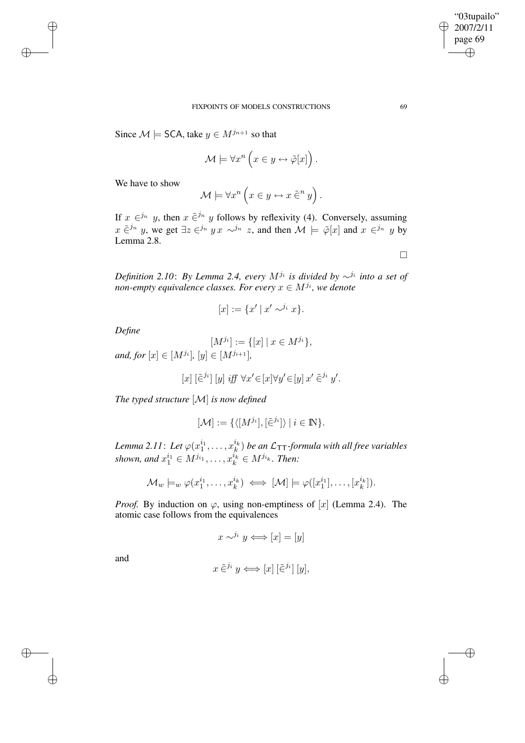## FIXPOINTS OF MODELS CONSTRUCTIONS 69

Since  $\mathcal{M} \models$  SCA, take  $y \in M^{j_{n+1}}$  so that

$$
\mathcal{M} \models \forall x^n \left( x \in y \leftrightarrow \tilde{\varphi}[x] \right).
$$

We have to show

✐

✐

$$
\mathcal{M} \models \forall x^n \left( x \in y \leftrightarrow x \; \widetilde{\in}^n \; y \right).
$$

If  $x \in \mathbb{R}^n$  y, then  $x \in \mathbb{R}^n$  y follows by reflexivity (4). Conversely, assuming  $x \in \tilde{\mathbb{S}}^{j_n}$  y, we get  $\exists z \in \tilde{\mathbb{S}}^{j_n}$  y  $x \sim \tilde{\mathbb{S}}^{j_n}$  and then  $\mathcal{M} \models \tilde{\varphi}[x]$  and  $x \in \tilde{\mathbb{S}}^{j_n}$  y by Lemma 2.8.

 $\Box$ 

*Definition 2.10*: *By Lemma 2.4, every* Mj<sup>i</sup> *is divided by* ∼j<sup>i</sup> *into a set of non-empty equivalence classes. For every*  $x \in M^{j_i}$ , we denote

$$
[x] := \{x' \mid x' \sim^{j_i} x\}.
$$

*Define*

 $[M^{j_i}] := \{ [x] \mid x \in M^{j_i} \},\$  $and, for [x] \in [M^{j_i}], [y] \in [M^{j_{i+1}}],$ 

$$
[x] \left[\tilde{\in}^{j_i}\right] [y] \; \text{iff} \; \forall x' \in [x] \forall y' \in [y] \; x' \; \tilde{\in}^{j_i} \; y'.
$$

*The typed structure* [M] *is now defined*

$$
[\mathcal{M}] := \{ \langle [M^{j_i}], [\tilde{\in}^{j_i}] \rangle \mid i \in \mathbb{N} \}.
$$

Lemma 2.11: Let  $\varphi(x_1^{i_1}, \ldots, x_k^{i_k})$  $\left(\frac{k}{k}\right)$  be an  $\mathcal{L}_{\mathsf{TT}}$ -formula with all free variables shown, and  $x_1^{i_1} \in M^{j_{i_1}}, \ldots, x_k^{i_k} \in M^{j_{i_k}}$ . Then:

$$
\mathcal{M}_w \models_w \varphi(x_1^{i_1}, \dots, x_k^{i_k}) \iff [\mathcal{M}] \models \varphi([x_1^{i_1}], \dots, [x_k^{i_k}]).
$$

*Proof.* By induction on  $\varphi$ , using non-emptiness of [x] (Lemma 2.4). The atomic case follows from the equivalences

$$
x \sim^{j_i} y \iff [x] = [y]
$$

and

✐

✐

$$
x \in i^i y \Longleftrightarrow [x] \, [\tilde{\in}^{j_i}] \, [y],
$$

"03tupailo" 2007/2/11 page 69

✐

✐

✐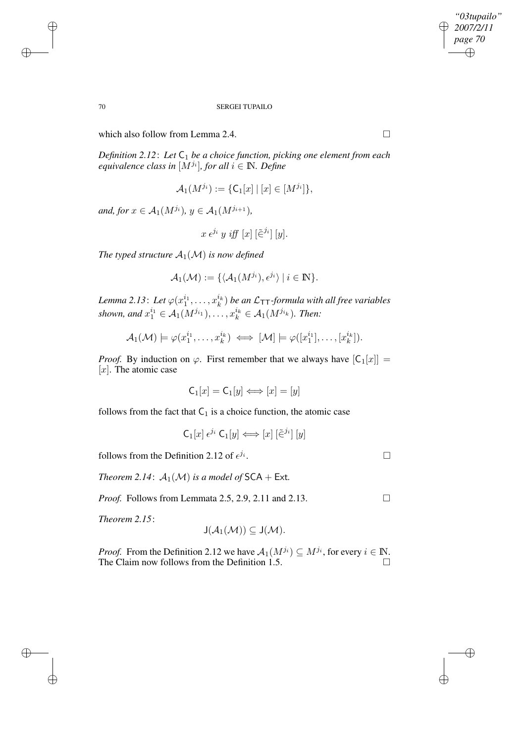# 70 SERGEI TUPAILO

which also follow from Lemma 2.4.

*Definition 2.12*: *Let* C<sup>1</sup> *be a choice function, picking one element from each*  $\mathit{equivalence}$  *class in*  $[M^{j_i}]$ , for all  $i \in \mathbb{N}$ . Define

$$
\mathcal{A}_1(M^{j_i}) := \{ \mathsf{C}_1[x] \mid [x] \in [M^{j_i}]\},
$$

*and, for*  $x \in A_1(M^{j_i})$ *,*  $y \in A_1(M^{j_{i+1}})$ *,* 

$$
x \in i^i y \text{ iff } [x] \in i^i] [y].
$$

*The typed structure*  $A_1(\mathcal{M})$  *is now defined* 

$$
\mathcal{A}_1(\mathcal{M}):=\{\langle \mathcal{A}_1(M^{j_i}),\epsilon^{j_i}\rangle\,|\,i\in\mathrm{I\!N}\}.
$$

Lemma 2.13: Let  $\varphi(x_1^{i_1}, \ldots, x_k^{i_k})$  $\binom{i_k}{k}$  be an  $\mathcal{L}_{\textsf{TT}}$ -formula with all free variables shown, and  $x_1^{i_1} \in A_1(M^{j_{i_1}}), \ldots, x_k^{i_k} \in A_1(M^{j_{i_k}})$ . Then:

$$
\mathcal{A}_1(\mathcal{M}) \models \varphi(x_1^{i_1}, \dots, x_k^{i_k}) \iff [\mathcal{M}] \models \varphi([x_1^{i_1}], \dots, [x_k^{i_k}]).
$$

*Proof.* By induction on  $\varphi$ . First remember that we always have  $[C_1[x]] =$  $[x]$ . The atomic case

$$
\mathsf{C}_1[x] = \mathsf{C}_1[y] \Longleftrightarrow [x] = [y]
$$

follows from the fact that  $C_1$  is a choice function, the atomic case

$$
C_1[x] \epsilon^{j_i} C_1[y] \Longleftrightarrow [x] [\tilde{\in}^{j_i}] [y]
$$

follows from the Definition 2.12 of  $\epsilon^{j_i}$ 

*Theorem* 2.14:  $A_1(\mathcal{M})$  *is a model of*  $SCA + Ext$ *.* 

*Proof.* Follows from Lemmata 2.5, 2.9, 2.11 and 2.13. □

*Theorem 2.15*:

$$
J(\mathcal{A}_1(\mathcal{M})) \subseteq J(\mathcal{M}).
$$

*Proof.* From the Definition 2.12 we have  $A_1(M^{j_i}) \subseteq M^{j_i}$ , for every  $i \in \mathbb{N}$ . The Claim now follows from the Definition 1.5.

✐

✐

✐

✐

. — Первый процесс в серверності процесс в серверності процесс в серверності процесс в серверності процесс в с<br>Процесс в серверності процесс в серверності процесс в серверності процесс в серверності процесс в серверності

✐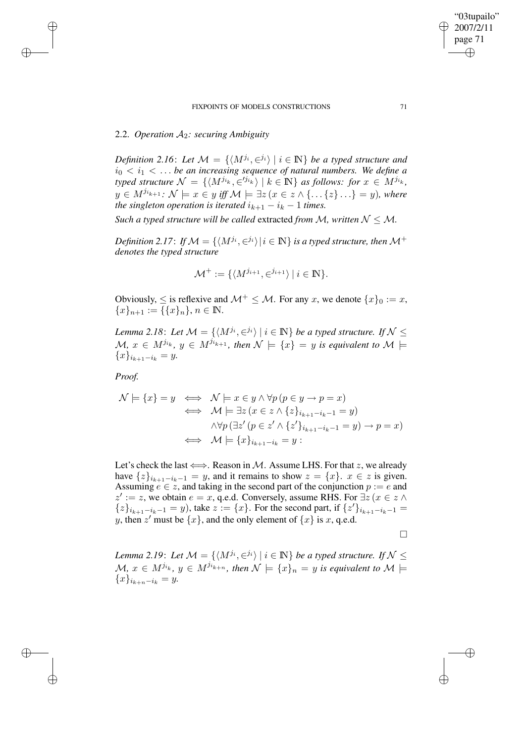### FIXPOINTS OF MODELS CONSTRUCTIONS 71

# 2.2. *Operation* A2*: securing Ambiguity*

 $Definition 2.16$ : Let  $\mathcal{M} = \{ \langle M^{j_i}, \in^{j_i} \rangle \mid i \in \mathbb{N} \}$  be a typed structure and  $i_0 < i_1 < \ldots$  be an increasing sequence of natural numbers. We define a *typed structure*  $\mathcal{N} = \{ \langle M^{j_{i_k}}, \in^{j_{i_k}} \rangle \mid k \in \mathbb{N} \}$  *as follows: for*  $x \in M^{j_{i_k}},$  $y \in M^{j_{i_{k+1}}}$ :  $\mathcal{N} \models x \in y$  iff  $\mathcal{M} \models \exists z \, (x \in z \land \{ \dots \{z\} \dots \} = y)$ , where *the singleton operation is iterated*  $i_{k+1} - i_k - 1$  *times.* 

*Such a typed structure will be called extracted from M, written*  $\mathcal{N} \leq \mathcal{M}$ .

*Definition 2.17*: *If*  $\mathcal{M} = \{ \langle M^{j_i}, \in^{j_i} \rangle | i \in \mathbb{N} \}$  *is a typed structure, then*  $\mathcal{M}^+$ *denotes the typed structure*

$$
\mathcal{M}^+:=\{\langle M^{j_{i+1}},\in^{j_{i+1}}\rangle\ |\ i\in \mathbb{N}\}.
$$

Obviously,  $\leq$  is reflexive and  $\mathcal{M}^+ \leq \mathcal{M}$ . For any x, we denote  $\{x\}_0 := x$ ,  ${x}_n+1 := \{\{x\}_n\}, n \in \mathbb{N}.$ 

*Lemma* 2.18: Let  $\mathcal{M} = \{ \langle M^{j_i}, \in^{j_i} \rangle \mid i \in \mathbb{N} \}$  be a typed structure. If  $\mathcal{N} \leq$  $\mathcal{M}, x \in M^{j_{i_k}}, y \in M^{j_{i_{k+1}}}$ , then  $\mathcal{N} \models \{x\} = y$  is equivalent to  $\mathcal{M} \models$  ${x}_{i_{k+1}-i_k} = y.$ 

*Proof.*

✐

✐

✐

✐

$$
\mathcal{N} \models \{x\} = y \iff \mathcal{N} \models x \in y \land \forall p (p \in y \to p = x)
$$
  
\n
$$
\iff \mathcal{M} \models \exists z (x \in z \land \{z\}_{i_{k+1}-i_k-1} = y)
$$
  
\n
$$
\land \forall p (\exists z' (p \in z' \land \{z'\}_{i_{k+1}-i_k-1} = y) \to p = x)
$$
  
\n
$$
\iff \mathcal{M} \models \{x\}_{i_{k+1}-i_k} = y :
$$

Let's check the last  $\Longleftrightarrow$ . Reason in M. Assume LHS. For that z, we already have  $\{z\}_{i_{k+1}-i_k-1} = y$ , and it remains to show  $z = \{x\}$ .  $x \in z$  is given. Assuming  $e \in \mathbb{Z}$ , and taking in the second part of the conjunction  $p := e$  and  $z' := z$ , we obtain  $e = x$ , q.e.d. Conversely, assume RHS. For  $\exists z (x \in z \land z)$  ${z}_{i_{k+1}-i_k-1} = y$ , take  $z := {x}$ . For the second part, if  ${z'}_{i_{k+1}-i_k-1} =$ y, then z' must be  $\{x\}$ , and the only element of  $\{x\}$  is x, q.e.d.

 $\Box$ 

✐

✐

*Lemma* 2.19: Let  $\mathcal{M} = \{ \langle M^{j_i}, \in^{j_i} \rangle \mid i \in \mathbb{N} \}$  be a typed structure. If  $\mathcal{N} \leq$  $\mathcal{M}, x \in M^{j_{i_k}}, y \in M^{j_{i_{k+n}}}$ , then  $\mathcal{N} \models \{x\}_n = y$  is equivalent to  $\mathcal{M} \models$  ${x}_{i_{k+n}-i_k} = y.$ 

"03tupailo" 2007/2/11 page 71

✐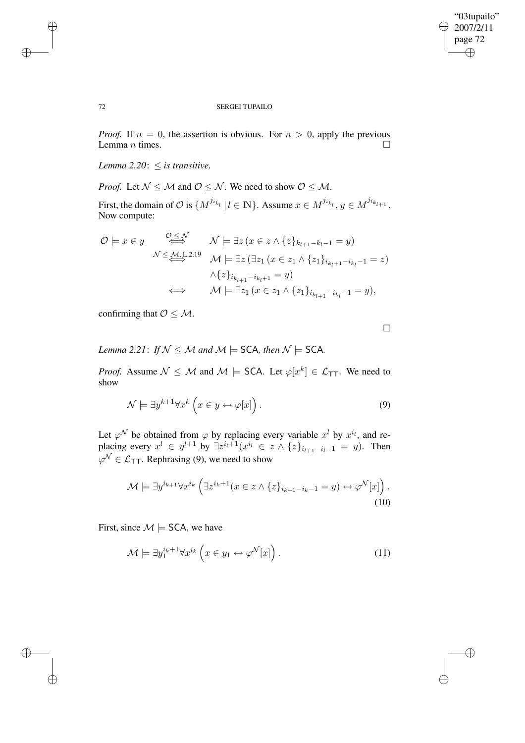$\mathcal{P}$ 

✐

# 72 SERGEI TUPAILO

*Proof.* If  $n = 0$ , the assertion is obvious. For  $n > 0$ , apply the previous Lemma *n* times.  $\Box$ 

*Lemma 2.20*: ≤ *is transitive.*

*Proof.* Let  $N \leq M$  and  $\mathcal{O} \leq N$ . We need to show  $\mathcal{O} \leq M$ .

First, the domain of  $\mathcal O$  is  $\{M^{j_{i_{k_l}}}\,|\,l\in\mathbb N\}$ . Assume  $x\in M^{j_{i_{k_l}}}, y\in M^{j_{i_{k_{l+1}}}}.$ Now compute:

$$
\mathcal{O} \models x \in y \quad \mathcal{O} \subseteq \mathcal{N} \quad \mathcal{N} \models \exists z (x \in z \land \{z\}_{k_{l+1}-k_l-1} = y)
$$
  

$$
\mathcal{N} \leq \underbrace{\mathcal{M}, L}_{\iff} 2.19 \quad \mathcal{M} \models \exists z (\exists z_1 (x \in z_1 \land \{z_1\}_{i_{k_l+1}-i_{k_l}-1} = z)
$$
  

$$
\land \{z\}_{i_{k_{l+1}}-i_{k_l}+1} = y)
$$
  

$$
\iff \quad \mathcal{M} \models \exists z_1 (x \in z_1 \land \{z_1\}_{i_{k_{l+1}}-i_{k_l}-1} = y),
$$

confirming that  $\mathcal{O} \leq \mathcal{M}$ .

 $\Box$ 

*Lemma* 2.21: *If*  $N \leq M$  *and*  $M \models$  SCA*, then*  $N \models$  SCA*.* 

*Proof.* Assume  $\mathcal{N} \leq \mathcal{M}$  and  $\mathcal{M} \models$  SCA. Let  $\varphi[x^k] \in \mathcal{L}_{TT}$ . We need to show

$$
\mathcal{N} \models \exists y^{k+1} \forall x^k \left( x \in y \leftrightarrow \varphi[x] \right). \tag{9}
$$

Let  $\varphi^{\mathcal{N}}$  be obtained from  $\varphi$  by replacing every variable  $x^{l}$  by  $x^{i_l}$ , and replacing every  $x^l \in y^{l+1}$  by  $\exists z^{i_l+1}(x^{i_l} \in z \wedge \{z\}_{i_{l+1}-i_l-1} = y)$ . Then  $\varphi^{\mathcal{N}} \in \mathcal{L}_{\mathsf{T} \mathsf{T}}$ . Rephrasing (9), we need to show

$$
\mathcal{M} \models \exists y^{i_{k+1}} \forall x^{i_k} \left( \exists z^{i_k+1} (x \in z \land \{z\}_{i_{k+1}-i_k-1} = y) \leftrightarrow \varphi^{\mathcal{N}}[x] \right). \tag{10}
$$

First, since  $\mathcal{M} \models$  SCA, we have

$$
\mathcal{M} \models \exists y_1^{i_k+1} \forall x^{i_k} \left( x \in y_1 \leftrightarrow \varphi^{\mathcal{N}}[x] \right). \tag{11}
$$

✐

✐

✐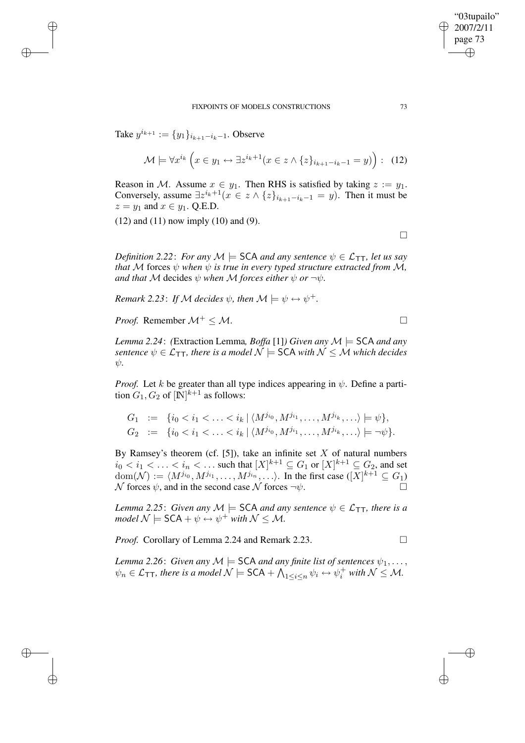#### FIXPOINTS OF MODELS CONSTRUCTIONS 73

Take  $y^{i_{k+1}} := \{y_1\}_{i_{k+1}-i_k-1}$ . Observe

✐

✐

✐

✐

$$
\mathcal{M} \models \forall x^{i_k} \left( x \in y_1 \leftrightarrow \exists z^{i_k+1} (x \in z \land \{z\}_{i_{k+1}-i_k-1} = y) \right) : \tag{12}
$$

Reason in M. Assume  $x \in y_1$ . Then RHS is satisfied by taking  $z := y_1$ . Conversely, assume  $\exists z^{i_k+1} (x \in z \wedge \{z\}_{i_{k+1}-i_k-1} = y)$ . Then it must be  $z = y_1$  and  $x \in y_1$ . Q.E.D.

(12) and (11) now imply (10) and (9).

*Definition* 2.22: *For any*  $M \models$  SCA *and any sentence*  $\psi \in \mathcal{L}_{TT}$ *, let us say that* M forces  $\psi$  *when*  $\psi$  *is true in every typed structure extracted from* M, *and that*  $M$  decides  $\psi$  *when*  $M$  *forces either*  $\psi$  *or*  $\neg \psi$ *.* 

*Remark* 2.23: *If* M *decides*  $\psi$ *, then*  $M \models \psi \leftrightarrow \psi^+$ *.* 

*Proof.* Remember  $M^+ \leq M$ .

*Lemma* 2.24: *(Extraction Lemma, Boffa* [1]*) Given any*  $M \models$  **SCA** *and any sentence*  $\psi \in \mathcal{L}_{TT}$ *, there is a model*  $\mathcal{N} \models$  SCA *with*  $\mathcal{N} \leq \mathcal{M}$  *which decides* ψ*.*

*Proof.* Let k be greater than all type indices appearing in  $\psi$ . Define a partition  $G_1, G_2$  of  $[N]^{k+1}$  as follows:

$$
G_1 := \{ i_0 < i_1 < \ldots < i_k \mid \langle M^{j_{i_0}}, M^{j_{i_1}}, \ldots, M^{j_{i_k}}, \ldots \rangle \models \psi \},
$$
  
\n
$$
G_2 := \{ i_0 < i_1 < \ldots < i_k \mid \langle M^{j_{i_0}}, M^{j_{i_1}}, \ldots, M^{j_{i_k}}, \ldots \rangle \models \neg \psi \}.
$$

By Ramsey's theorem (cf.  $[5]$ ), take an infinite set X of natural numbers  $i_0 < i_1 < \ldots < i_n < \ldots$  such that  $[X]^{k+1} \subseteq G_1$  or  $[X]^{k+1} \subseteq G_2$ , and set  $dom(\mathcal{N}) := \langle M^{j_{i_0}}, M^{j_{i_1}}, \ldots, M^{j_{i_n}}, \ldots \rangle$ . In the first case  $([X]^{k+1} \subseteq G_1)$  $\mathcal N$  forces  $\psi$ , and in the second case  $\mathcal N$  forces  $\neg\psi$ .

*Lemma* 2.25: *Given any*  $M \models$  SCA *and any sentence*  $\psi \in \mathcal{L}_{TT}$ *, there is a*  $\mathsf{model}\;\mathcal{N}\models\mathsf{SCA} + \psi\leftrightarrow\psi^+\;\mathsf{with}\;\mathcal{N}\leq\mathcal{M}.$ 

*Proof.* Corollary of Lemma 2.24 and Remark 2.23. □

*Lemma* 2.26: *Given any*  $M \models$  SCA *and any finite list of sentences*  $\psi_1, \ldots,$  $\psi_n \in \mathcal{L}_{\mathsf{T} \mathsf{T}}$ , there is a model  $\mathcal{N} \models \mathsf{SCA} + \bigwedge_{1 \leq i \leq n} \psi_i \leftrightarrow \psi_i^+$  with  $\mathcal{N} \leq \mathcal{M}$ .

"03tupailo" 2007/2/11 page 73

✐

✐

✐

✐

 $\Box$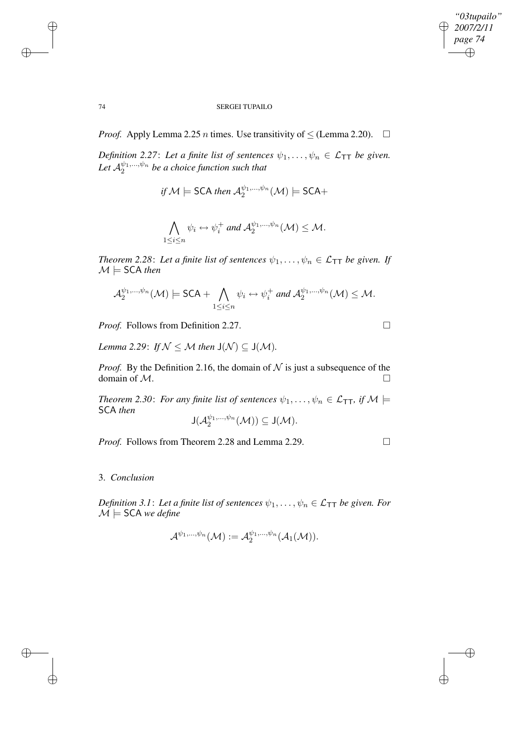$\oplus$ 

✐

# 74 SERGEI TUPAILO

*Proof.* Apply Lemma 2.25 *n* times. Use transitivity of  $\leq$  (Lemma 2.20).  $\square$ 

*Definition* 2.27: Let *a finite list of sentences*  $\psi_1, \dots, \psi_n \in \mathcal{L}_{TT}$  *be given.* Let  $\mathcal{A}_2^{\psi_1,...,\psi_n}$  be a choice function such that

if 
$$
M \models
$$
 SCA then  $\mathcal{A}_2^{\psi_1,\dots,\psi_n}(\mathcal{M}) \models$  SCA+

$$
\bigwedge_{1 \leq i \leq n} \psi_i \leftrightarrow \psi_i^+ \text{ and } \mathcal{A}_2^{\psi_1,...,\psi_n}(\mathcal{M}) \leq \mathcal{M}.
$$

*Theorem* 2.28: Let *a finite* list of sentences  $\psi_1, \dots, \psi_n \in \mathcal{L}_{TT}$  be given. If  $\mathcal{M} \models$  SCA *then* 

$$
\mathcal{A}_2^{\psi_1,\dots,\psi_n}(\mathcal{M})\models\mathsf{SCA}+\bigwedge_{1\leq i\leq n}\psi_i\leftrightarrow\psi_i^+\text{ and }\mathcal{A}_2^{\psi_1,\dots,\psi_n}(\mathcal{M})\leq\mathcal{M}.
$$

*Proof.* Follows from Definition 2.27. □

 $\overline{1}$ 

*Lemma* 2.29: *If*  $\mathcal{N} \leq \mathcal{M}$  *then*  $J(\mathcal{N}) \subseteq J(\mathcal{M})$ *.* 

*Proof.* By the Definition 2.16, the domain of  $N$  is just a subsequence of the domain of  $M$ .

*Theorem* 2.30: *For any finite list of sentences*  $\psi_1, \dots, \psi_n \in \mathcal{L}_{TT}$ *, if*  $\mathcal{M} \models$ SCA *then*  $\mathsf{J}(\mathcal{A}^{\psi_1,...,\psi_n}_2(\mathcal{M}))\subseteq \mathsf{J}(\mathcal{M}).$ 

*Proof.* Follows from Theorem 2.28 and Lemma 2.29. □

3. *Conclusion*

*Definition* 3.1: Let *a finite* list of sentences  $\psi_1, \dots, \psi_n \in \mathcal{L}_{TT}$  be given. For  $\mathcal{M} \models$  SCA *we* define

$$
\mathcal{A}^{\psi_1,...,\psi_n}(\mathcal{M}):=\mathcal{A}_2^{\psi_1,...,\psi_n}(\mathcal{A}_1(\mathcal{M})).
$$

✐

✐

✐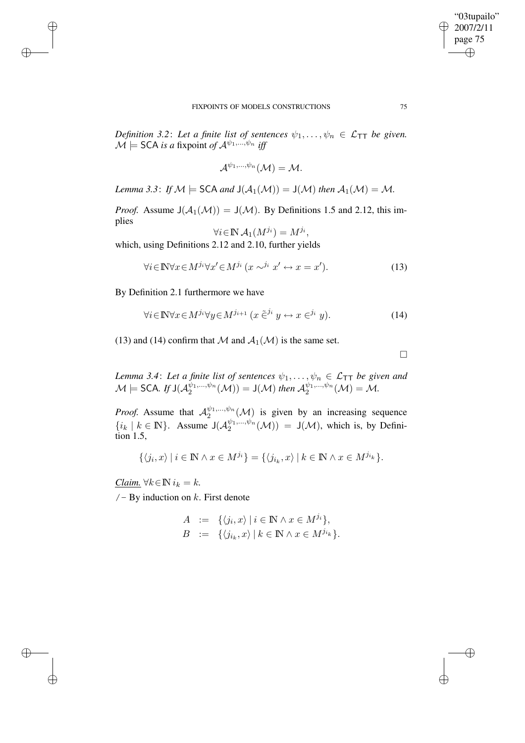*Definition* 3.2: Let *a finite list of sentences*  $\psi_1, \dots, \psi_n \in \mathcal{L}_{TT}$  *be given.*  $\mathcal{M} \models$  SCA *is a* fixpoint *of*  $\mathcal{A}^{\psi_1,...,\psi_n}$  *iff* 

$$
\mathcal{A}^{\psi_1,\ldots,\psi_n}(\mathcal{M})=\mathcal{M}.
$$

*Lemma* 3.3: *If*  $M \models$  SCA *and*  $J(A_1(M)) = J(M)$  *then*  $A_1(M) = M$ *.* 

*Proof.* Assume  $J(A_1(\mathcal{M})) = J(\mathcal{M})$ . By Definitions 1.5 and 2.12, this implies

$$
\forall i\!\in\!\mathbb{N}\, \mathcal{A}_1(M^{j_i})=M^{j_i},
$$

which, using Definitions 2.12 and 2.10, further yields

$$
\forall i \in \mathbb{N} \forall x \in M^{j_i} \forall x' \in M^{j_i} \ (x \sim^{j_i} x' \leftrightarrow x = x'). \tag{13}
$$

By Definition 2.1 furthermore we have

✐

✐

✐

✐

$$
\forall i \in \mathbb{N} \forall x \in M^{j_i} \forall y \in M^{j_{i+1}} \ (x \tilde{\in}^{j_i} y \leftrightarrow x \in^{j_i} y). \tag{14}
$$

(13) and (14) confirm that M and  $A_1(\mathcal{M})$  is the same set.

 $\Box$ 

*Lemma* 3.4: Let *a finite list of sentences*  $\psi_1, \dots, \psi_n \in \mathcal{L}_{TT}$  *be given and*  $\mathcal{M} \models \mathsf{SCA}\$  If  $\mathsf{J}(\mathcal{A}_2^{\psi_1,...,\psi_n}(\mathcal{M})) = \mathsf{J}(\mathcal{M})$  then  $\mathcal{A}_2^{\psi_1,...,\psi_n}(\mathcal{M}) = \mathcal{M}$ .

*Proof.* Assume that  $\mathcal{A}_2^{\psi_1,...,\psi_n}(\mathcal{M})$  is given by an increasing sequence  $\{i_k \mid k \in \mathbb{N}\}\.$  Assume  $J(\mathcal{A}_2^{\psi_1,...,\psi_n}(\mathcal{M})) = J(\mathcal{M})$ , which is, by Definition 1.5,

$$
\{\langle j_i, x \rangle \mid i \in \mathbb{N} \land x \in M^{j_i}\} = \{\langle j_{i_k}, x \rangle \mid k \in \mathbb{N} \land x \in M^{j_{i_k}}\}.
$$

*Claim.*  $\forall k \in \mathbb{N}$  *i*<sub>*k*</sub> = *k*.  $/$ - By induction on k. First denote

$$
A := \{ \langle j_i, x \rangle \mid i \in \mathbb{N} \land x \in M^{j_i} \},
$$
  

$$
B := \{ \langle j_{i_k}, x \rangle \mid k \in \mathbb{N} \land x \in M^{j_{i_k}} \}.
$$

"03tupailo" 2007/2/11 page 75

✐

✐

✐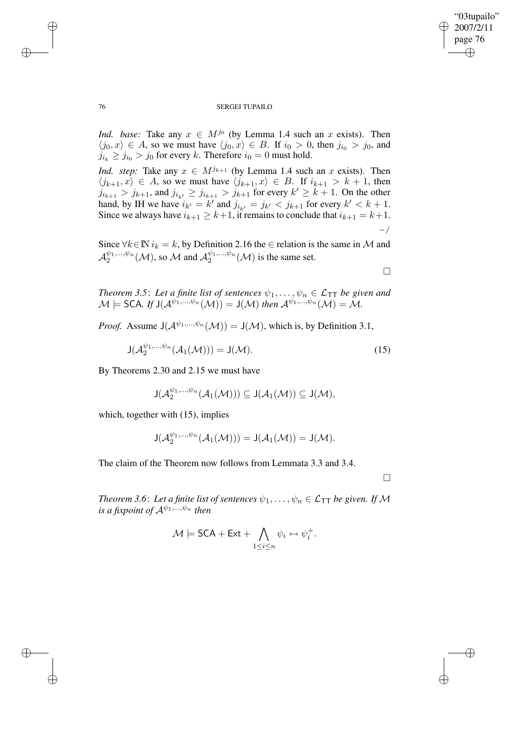# "03tupailo" 2007/2/11 page 76 ✐ ✐

### 76 SERGEI TUPAILO

*Ind. base:* Take any  $x \in M^{j_0}$  (by Lemma 1.4 such an x exists). Then  $\langle j_0, x \rangle \in A$ , so we must have  $\langle j_0, x \rangle \in B$ . If  $i_0 > 0$ , then  $j_{i_0} > j_0$ , and  $j_{i_k} \ge j_{i_0} > j_0$  for every k. Therefore  $i_0 = 0$  must hold.

*Ind. step:* Take any  $x \in M^{j_{k+1}}$  (by Lemma 1.4 such an x exists). Then  $\langle j_{k+1}, x \rangle \in A$ , so we must have  $\langle j_{k+1}, x \rangle \in B$ . If  $i_{k+1} > k+1$ , then  $j_{i_{k+1}} > j_{k+1}$ , and  $j_{i_{k'}} \ge j_{i_{k+1}} > j_{k+1}$  for every  $k' \ge k+1$ . On the other hand, by IH we have  $i_{k'} = k'$  and  $j_{i_{k'}} = j_{k'} < j_{k+1}$  for every  $k' < k+1$ . Since we always have  $i_{k+1} \geq k+1$ , it remains to conclude that  $i_{k+1} = k+1$ .  $-$  /

Since  $\forall k \in \mathbb{N}$   $i_k = k$ , by Definition 2.16 the  $\in$  relation is the same in M and  $\mathcal{A}_2^{\psi_1,...,\psi_n}(\mathcal{M})$ , so M and  $\mathcal{A}_2^{\psi_1,...,\psi_n}(\mathcal{M})$  is the same set.

 $\Box$ 

*Theorem* 3.5: Let a finite list of sentences  $\psi_1, \dots, \psi_n \in \mathcal{L}_{TT}$  be given and  $\mathcal{M} \models$  SCA*.* If  $J(\mathcal{A}^{\psi_1,...,\psi_n}(\mathcal{M})) = J(\mathcal{M})$  then  $\mathcal{A}^{\psi_1,...,\psi_n}(\mathcal{M}) = \mathcal{M}$ .

*Proof.* Assume  $J(A^{\psi_1,...,\psi_n}(\mathcal{M})) = J(\mathcal{M})$ , which is, by Definition 3.1,

$$
J(\mathcal{A}_2^{\psi_1,\ldots,\psi_n}(\mathcal{A}_1(\mathcal{M}))) = J(\mathcal{M}).
$$
\n(15)

By Theorems 2.30 and 2.15 we must have

$$
\mathsf{J}(\mathcal{A}_2^{\psi_1,...,\psi_n}(\mathcal{A}_1(\mathcal{M})))\subseteq\mathsf{J}(\mathcal{A}_1(\mathcal{M}))\subseteq\mathsf{J}(\mathcal{M}),
$$

which, together with  $(15)$ , implies

$$
\mathsf{J}(\mathcal{A}_2^{\psi_1,\ldots,\psi_n}(\mathcal{A}_1(\mathcal{M})))=\mathsf{J}(\mathcal{A}_1(\mathcal{M}))=\mathsf{J}(\mathcal{M}).
$$

The claim of the Theorem now follows from Lemmata 3.3 and 3.4.

 $\Box$ 

✐

✐

*Theorem* 3.6: Let *a* finite list of sentences  $\psi_1, \dots, \psi_n \in \mathcal{L}_{TT}$  be given. If M *is a fixpoint of*  $A^{\psi_1,...,\psi_n}$  *then* 

$$
\mathcal{M} \models \mathsf{SCA} + \mathsf{Ext} + \bigwedge_{1 \leq i \leq n} \psi_i \leftrightarrow \psi_i^+.
$$

✐

✐

✐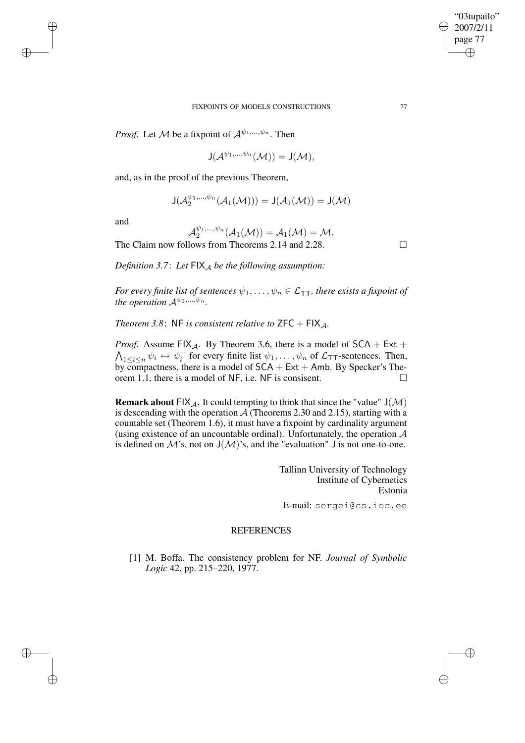*Proof.* Let M be a fixpoint of  $\mathcal{A}^{\psi_1,...,\psi_n}$ . Then

$$
\mathsf{J}(\mathcal{A}^{\psi_1,...,\psi_n}(\mathcal{M}))=\mathsf{J}(\mathcal{M}),
$$

and, as in the proof of the previous Theorem,

$$
\mathsf{J}(\mathcal{A}_2^{\psi_1,\ldots,\psi_n}(\mathcal{A}_1(\mathcal{M})))=\mathsf{J}(\mathcal{A}_1(\mathcal{M}))=\mathsf{J}(\mathcal{M})
$$

and

✐

✐

✐

✐

$$
\mathcal{A}_2^{\psi_1,\dots,\psi_n}(\mathcal{A}_1(\mathcal{M})) = \mathcal{A}_1(\mathcal{M}) = \mathcal{M}.
$$
  
The Claim now follows from Theorems 2.14 and 2.28.

*Definition* 3.7: Let  $F[X_A \text{ be the following assumption:}$ 

*For every finite list of sentences*  $\psi_1, \dots, \psi_n \in \mathcal{L}_{\mathsf{T} \mathsf{T}}$ *, there exists a fixpoint of the operation*  $A^{\psi_1,...,\psi_n}$ *.* 

*Theorem* 3.8: NF *is consistent relative to*  $ZFC + FIX_A$ .

*Proof.* Assume FIX<sub>A</sub>. By Theorem 3.6, there is a model of  $SCA + Ext$  +  $\bigwedge_{1\leq i\leq n}\psi_i\leftrightarrow\psi_i^+$ <sup>+</sup> for every finite list  $\psi_1, \dots, \psi_n$  of  $\mathcal{L}_{TT}$ -sentences. Then, by compactness, there is a model of  $SCA + Ext + Amb$ . By Specker's Theorem 1.1, there is a model of NF, i.e. NF is consisent.

**Remark about**  $FK_A$ . It could tempting to think that since the "value"  $J(M)$ is descending with the operation  $A$  (Theorems 2.30 and 2.15), starting with a countable set (Theorem 1.6), it must have a fixpoint by cardinality argument (using existence of an uncountable ordinal). Unfortunately, the operation  $A$ is defined on  $\mathcal{M}$ 's, not on  $J(\mathcal{M})$ 's, and the "evaluation" J is not one-to-one.

> Tallinn University of Technology Institute of Cybernetics Estonia E-mail: sergei@cs.ioc.ee

# **REFERENCES**

[1] M. Boffa. The consistency problem for NF. *Journal of Symbolic Logic* 42, pp. 215–220, 1977.

"03tupailo" 2007/2/11 page 77

✐

✐

✐